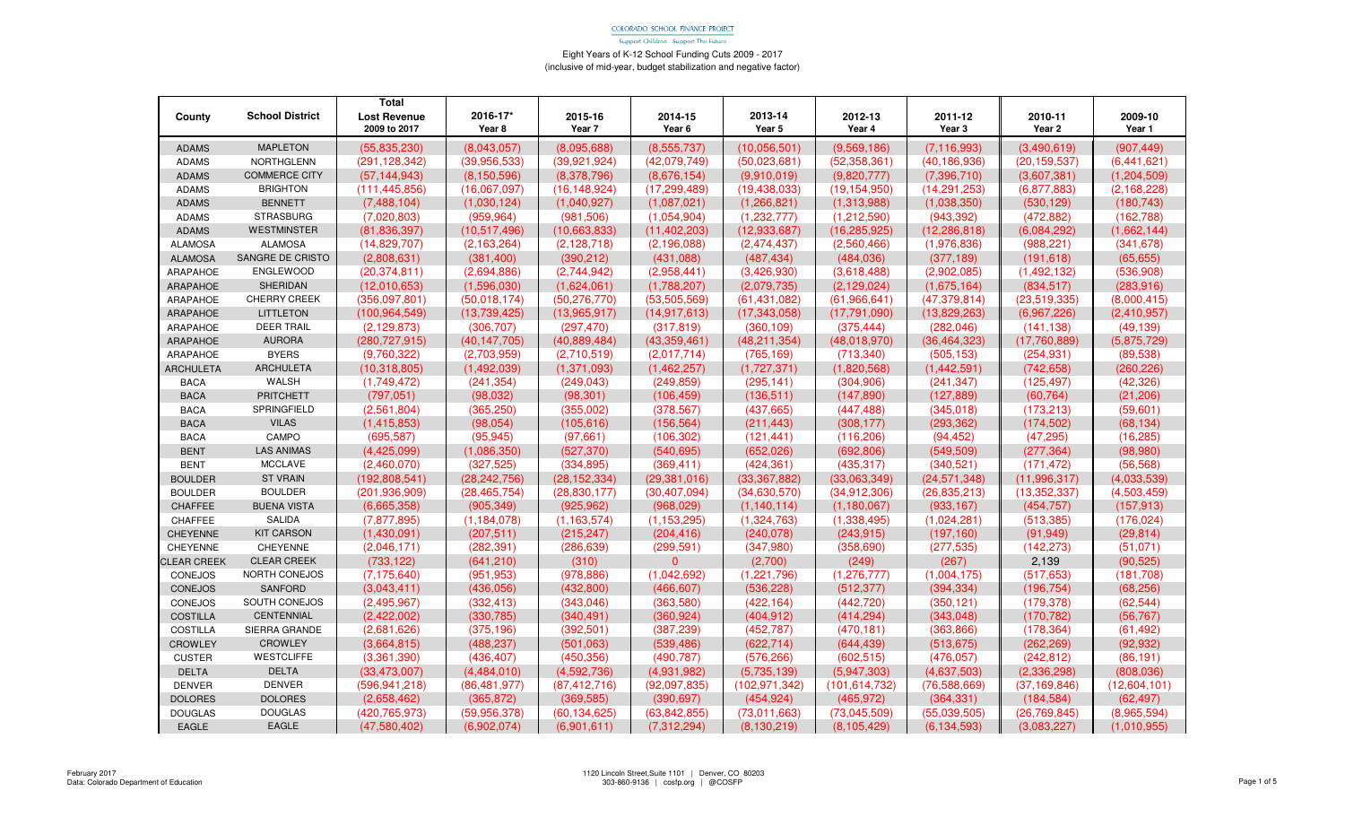Support Children - Support The Future

| County             | <b>School District</b> | <b>Total</b><br><b>Lost Revenue</b><br>2009 to 2017 | 2016-17*<br>Year 8 | 2015-16<br>Year 7 | 2014-15<br>Year 6 | 2013-14<br>Year 5 | 2012-13<br>Year 4 | 2011-12<br>Year 3 | 2010-11<br>Year 2 | 2009-10<br>Year 1 |
|--------------------|------------------------|-----------------------------------------------------|--------------------|-------------------|-------------------|-------------------|-------------------|-------------------|-------------------|-------------------|
| <b>ADAMS</b>       | <b>MAPLETON</b>        | (55,835,230)                                        | (8,043,057)        | (8,095,688)       | (8,555,737)       | (10, 056, 501)    | (9,569,186)       | (7, 116, 993)     | (3,490,619)       | (907, 449)        |
| <b>ADAMS</b>       | NORTHGLENN             | (291, 128, 342)                                     | (39,956,533)       | (39,921,924)      | (42,079,749)      | (50,023,681)      | (52, 358, 361)    | (40, 186, 936)    | (20, 159, 537)    | (6,441,621)       |
| <b>ADAMS</b>       | <b>COMMERCE CITY</b>   | (57, 144, 943)                                      | (8, 150, 596)      | (8,378,796)       | (8,676,154)       | (9.910.019)       | (9,820,777)       | (7, 396, 710)     | (3,607,381)       | (1, 204, 509)     |
| <b>ADAMS</b>       | <b>BRIGHTON</b>        | (111, 445, 856)                                     | (16.067.097)       | (16, 148, 924)    | (17, 299, 489)    | (19, 438, 033)    | (19, 154, 950)    | (14, 291, 253)    | (6,877,883)       | (2, 168, 228)     |
| <b>ADAMS</b>       | <b>BENNETT</b>         | (7,488,104)                                         | (1,030,124)        | (1,040,927)       | (1,087,021)       | (1,266,821)       | (1,313,988)       | (1,038,350)       | (530, 129)        | (180, 743)        |
| <b>ADAMS</b>       | <b>STRASBURG</b>       | (7,020,803)                                         | (959, 964)         | (981, 506)        | (1,054,904)       | (1,232,777)       | (1,212,590)       | (943, 392)        | (472, 882)        | (162, 788)        |
| <b>ADAMS</b>       | WESTMINSTER            | (81, 836, 397)                                      | (10,517,496)       | (10,663,833)      | (11, 402, 203)    | (12.933.687)      | (16, 285, 925)    | (12, 286, 818)    | (6,084,292)       | (1,662,144)       |
| <b>ALAMOSA</b>     | <b>ALAMOSA</b>         | (14,829,707)                                        | (2, 163, 264)      | (2, 128, 718)     | (2, 196, 088)     | (2,474,437)       | (2,560,466)       | (1,976,836)       | (988, 221)        | (341, 678)        |
| <b>ALAMOSA</b>     | SANGRE DE CRISTO       | (2,808,631)                                         | (381, 400)         | (390, 212)        | (431,088)         | (487, 434)        | (484, 036)        | (377, 189)        | (191, 618)        | (65, 655)         |
| ARAPAHOE           | ENGLEWOOD              | (20, 374, 811)                                      | (2,694,886)        | (2,744,942)       | (2,958,441)       | (3,426,930)       | (3,618,488)       | (2,902,085)       | (1,492,132)       | (536, 908)        |
| <b>ARAPAHOE</b>    | SHERIDAN               | (12,010,653)                                        | (1,596,030)        | (1,624,061)       | (1,788,207)       | (2,079,735)       | (2,129,024)       | (1,675,164)       | (834, 517)        | (283,916)         |
| ARAPAHOE           | CHERRY CREEK           | (356,097,801)                                       | (50,018,174)       | (50, 276, 770)    | (53,505,569)      | (61, 431, 082)    | (61,966,641)      | (47, 379, 814)    | (23, 519, 335)    | (8,000,415)       |
| <b>ARAPAHOE</b>    | <b>LITTLETON</b>       | (100, 964, 549)                                     | (13,739,425)       | (13,965,917)      | (14, 917, 613)    | (17, 343, 058)    | (17,791,090)      | (13,829,263)      | (6,967,226)       | (2,410,957)       |
| ARAPAHOE           | <b>DEER TRAIL</b>      | (2, 129, 873)                                       | (306, 707)         | (297, 470)        | (317, 819)        | (360, 109)        | (375, 444)        | (282, 046)        | (141, 138)        | (49, 139)         |
| ARAPAHOE           | <b>AURORA</b>          | (280, 727, 915)                                     | (40, 147, 705)     | (40,889,484)      | (43,359,461)      | (48, 211, 354)    | (48,018,970)      | (36, 464, 323)    | (17,760,889)      | (5,875,729)       |
| ARAPAHOE           | <b>BYERS</b>           | (9,760,322)                                         | (2,703,959)        | (2,710,519)       | (2,017,714)       | (765, 169)        | (713, 340)        | (505, 153)        | (254, 931)        | (89, 538)         |
| <b>ARCHULETA</b>   | <b>ARCHULETA</b>       | (10, 318, 805)                                      | (1,492,039)        | (1, 371, 093)     | (1,462,257)       | (1,727,371)       | (1,820,568)       | (1,442,591)       | (742, 658)        | (260, 226)        |
| <b>BACA</b>        | <b>WALSH</b>           | (1,749,472)                                         | (241, 354)         | (249, 043)        | (249, 859)        | (295, 141)        | (304, 906)        | (241, 347)        | (125, 497)        | (42, 326)         |
| <b>BACA</b>        | <b>PRITCHETT</b>       | (797, 051)                                          | (98, 032)          | (98, 301)         | (106, 459)        | (136, 511)        | (147, 890)        | (127, 889)        | (60, 764)         | (21, 206)         |
| <b>BACA</b>        | SPRINGFIELD            | (2,561,804)                                         | (365, 250)         | (355,002)         | (378, 567)        | (437, 665)        | (447, 488)        | (345,018)         | (173, 213)        | (59,601)          |
| <b>BACA</b>        | <b>VILAS</b>           | (1, 415, 853)                                       | (98, 054)          | (105, 616)        | (156, 564)        | (211, 443)        | (308, 177)        | (293, 362)        | (174, 502)        | (68, 134)         |
| <b>BACA</b>        | CAMPO                  | (695, 587)                                          | (95, 945)          | (97,661)          | (106, 302)        | (121, 441)        | (116, 206)        | (94, 452)         | (47, 295)         | (16, 285)         |
| <b>BENT</b>        | <b>LAS ANIMAS</b>      | (4,425,099)                                         | (1,086,350)        | (527, 370)        | (540, 695)        | (652,026)         | (692, 806)        | (549, 509)        | (277, 364)        | (98,980)          |
| <b>BENT</b>        | <b>MCCLAVE</b>         | (2,460,070)                                         | (327, 525)         | (334, 895)        | (369, 411)        | (424, 361)        | (435, 317)        | (340, 521)        | (171, 472)        | (56, 568)         |
| <b>BOULDER</b>     | <b>ST VRAIN</b>        | (192,808,541)                                       | (28, 242, 756)     | (28, 152, 334)    | (29, 381, 016)    | (33, 367, 882)    | (33,063,349)      | (24, 571, 348)    | (11,996,317)      | (4,033,539)       |
| <b>BOULDER</b>     | <b>BOULDER</b>         | (201, 936, 909)                                     | (28, 465, 754)     | (28, 830, 177)    | (30, 407, 094)    | (34,630,570)      | (34,912,306)      | (26, 835, 213)    | (13, 352, 337)    | (4,503,459)       |
| CHAFFEE            | <b>BUENA VISTA</b>     | (6,665,358)                                         | (905, 349)         | (925, 962)        | (968, 029)        | (1, 140, 114)     | (1, 180, 067)     | (933, 167)        | (454, 757)        | (157, 913)        |
| CHAFFEE            | <b>SALIDA</b>          | (7, 877, 895)                                       | (1, 184, 078)      | (1, 163, 574)     | (1, 153, 295)     | (1,324,763)       | (1,338,495)       | (1,024,281)       | (513, 385)        | (176, 024)        |
| CHEYENNE           | <b>KIT CARSON</b>      | (1,430,091)                                         | (207, 511)         | (215, 247)        | (204, 416)        | (240, 078)        | (243, 915)        | (197, 160)        | (91, 949)         | (29, 814)         |
| CHEYENNE           | CHEYENNE               | (2,046,171)                                         | (282, 391)         | (286, 639)        | (299, 591)        | (347,980)         | (358, 690)        | (277, 535)        | (142, 273)        | (51,071)          |
| <b>CLEAR CREEK</b> | <b>CLEAR CREEK</b>     | (733, 122)                                          | (641, 210)         | (310)             | $\Omega$          | (2,700)           | (249)             | (267)             | 2,139             | (90, 525)         |
| CONEJOS            | NORTH CONEJOS          | (7, 175, 640)                                       | (951,953)          | (978, 886)        | (1,042,692)       | (1,221,796)       | (1,276,777)       | (1,004,175)       | (517, 653)        | (181, 708)        |
| <b>CONEJOS</b>     | <b>SANFORD</b>         | (3,043,411)                                         | (436,056)          | (432, 800)        | (466, 607)        | (536, 228)        | (512, 377)        | (394, 334)        | (196, 754)        | (68, 256)         |
| CONEJOS            | SOUTH CONEJOS          | (2,495,967)                                         | (332, 413)         | (343,046)         | (363,580)         | (422, 164)        | (442, 720)        | (350, 121)        | (179, 378)        | (62, 544)         |
| <b>COSTILLA</b>    | CENTENNIAL             | (2,422,002)                                         | (330, 785)         | (340, 491)        | (360, 924)        | (404, 912)        | (414, 294)        | (343,048)         | (170, 782)        | (56, 767)         |
| <b>COSTILLA</b>    | SIERRA GRANDE          | (2,681,626)                                         | (375, 196)         | (392, 501)        | (387, 239)        | (452, 787)        | (470, 181)        | (363, 866)        | (178, 364)        | (61, 492)         |
| <b>CROWLEY</b>     | <b>CROWLEY</b>         | (3,664,815)                                         | (488, 237)         | (501,063)         | (539, 486)        | (622, 714)        | (644, 439)        | (513, 675)        | (262, 269)        | (92, 932)         |
| <b>CUSTER</b>      | <b>WESTCLIFFE</b>      | (3,361,390)                                         | (436, 407)         | (450, 356)        | (490, 787)        | (576, 266)        | (602, 515)        | (476, 057)        | (242, 812)        | (86, 191)         |
| <b>DELTA</b>       | <b>DELTA</b>           | (33, 473, 007)                                      | (4,484,010)        | (4,592,736)       | (4,931,982)       | (5,735,139)       | (5,947,303)       | (4,637,503)       | (2,336,298)       | (808, 036)        |
| <b>DENVER</b>      | <b>DENVER</b>          | (596, 941, 218)                                     | (86, 481, 977)     | (87, 412, 716)    | (92,097,835)      | (102, 971, 342)   | (101, 614, 732)   | (76, 588, 669)    | (37, 169, 846)    | (12,604,101)      |
| <b>DOLORES</b>     | <b>DOLORES</b>         | (2,658,462)                                         | (365, 872)         | (369, 585)        | (390, 697)        | (454, 924)        | (465, 972)        | (364, 331)        | (184, 584)        | (62, 497)         |
| <b>DOUGLAS</b>     | <b>DOUGLAS</b>         | (420, 765, 973)                                     | (59, 956, 378)     | (60, 134, 625)    | (63, 842, 855)    | (73,011,663)      | (73,045,509)      | (55,039,505)      | (26, 769, 845)    | (8,965,594)       |
| EAGLE              | EAGLE                  | (47,580,402)                                        | (6,902,074)        | (6,901,611)       | (7,312,294)       | (8, 130, 219)     | (8, 105, 429)     | (6, 134, 593)     | (3,083,227)       | (1,010,955)       |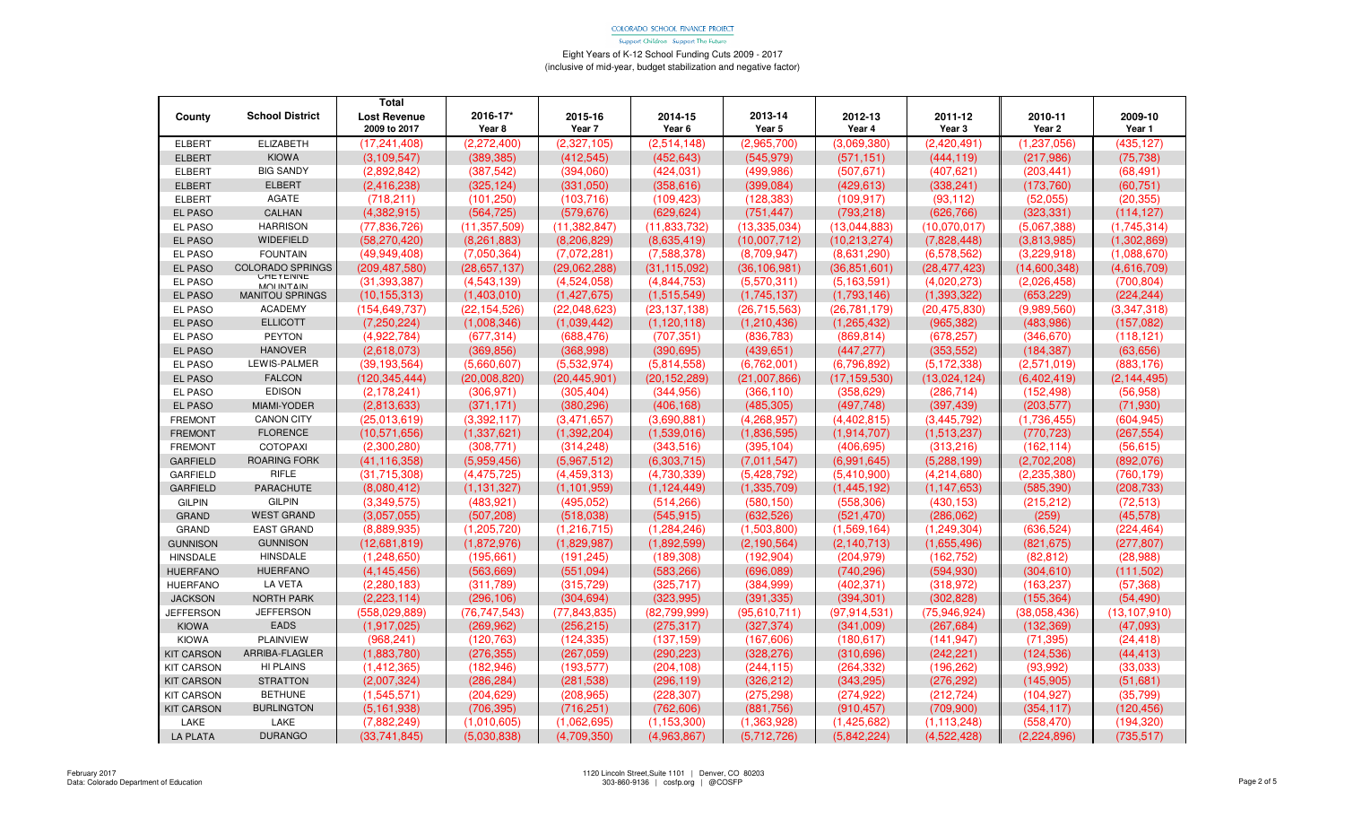Support Children - Support The Future

|                   |                              | Total               |                |                |                   |                |                |                |                   |                |
|-------------------|------------------------------|---------------------|----------------|----------------|-------------------|----------------|----------------|----------------|-------------------|----------------|
| County            | <b>School District</b>       | <b>Lost Revenue</b> | 2016-17*       | 2015-16        | 2014-15           | 2013-14        | 2012-13        | 2011-12        | 2010-11           | 2009-10        |
|                   |                              | 2009 to 2017        | Year 8         | Year 7         | Year <sub>6</sub> | Year 5         | Year 4         | Year 3         | Year <sub>2</sub> | Year 1         |
| <b>ELBERT</b>     | <b>ELIZABETH</b>             | (17, 241, 408)      | (2,272,400)    | (2,327,105)    | (2,514,148)       | (2,965,700)    | (3.069.380)    | (2,420,491)    | (1, 237, 056)     | (435,127)      |
| <b>ELBERT</b>     | <b>KIOWA</b>                 | (3.109.547)         | (389, 385)     | (412, 545)     | (452, 643)        | (545, 979)     | (571, 151)     | (444, 119)     | (217,986)         | (75, 738)      |
| <b>ELBERT</b>     | <b>BIG SANDY</b>             | (2.892.842)         | (387, 542)     | (394.060)      | (424, 031)        | (499.986)      | (507, 671)     | (407, 621)     | (203.441)         | (68, 491)      |
| <b>ELBERT</b>     | <b>ELBERT</b>                | (2,416,238)         | (325, 124)     | (331,050)      | (358, 616)        | (399, 084)     | (429, 613)     | (338, 241)     | (173,760)         | (60, 751)      |
| <b>ELBERT</b>     | AGATE                        | (718.211)           | (101, 250)     | (103, 716)     | (109, 423)        | (128, 383)     | (109.917)      | (93, 112)      | (52,055)          | (20, 355)      |
| <b>EL PASO</b>    | CALHAN                       | (4,382,915)         | (564, 725)     | (579, 676)     | (629, 624)        | (751, 447)     | (793, 218)     | (626, 766)     | (323, 331)        | (114, 127)     |
| <b>EL PASO</b>    | <b>HARRISON</b>              | (77,836,726)        | (11, 357, 509) | (11, 382, 847) | (11, 833, 732)    | (13, 335, 034) | (13,044,883)   | (10,070,017)   | (5,067,388)       | (1,745,314)    |
| <b>EL PASO</b>    | <b>WIDEFIELD</b>             | (58, 270, 420)      | (8,261,883)    | (8,206,829)    | (8,635,419)       | (10,007,712)   | (10,213,274)   | (7,828,448)    | (3,813,985)       | (1,302,869)    |
| <b>EL PASO</b>    | <b>FOUNTAIN</b>              | (49.949.408)        | (7,050,364)    | (7.072.281)    | (7,588,378)       | (8.709.947)    | (8.631.290)    | (6,578,562)    | (3.229.918)       | (1.088.670)    |
| EL PASO           | <b>COLORADO SPRINGS</b>      | (209, 487, 580)     | (28, 657, 137) | (29,062,288)   | (31, 115, 092)    | (36, 106, 981) | (36, 851, 601) | (28, 477, 423) | (14,600,348)      | (4,616,709)    |
| EL PASO           | UMETENNE<br><b>MOLINTAIN</b> | (31, 393, 387)      | (4,543,139)    | (4,524,058)    | (4,844,753)       | (5,570,311)    | (5, 163, 591)  | (4,020,273)    | (2,026,458)       | (700, 804)     |
| <b>EL PASO</b>    | <b>MANITOU SPRINGS</b>       | (10, 155, 313)      | (1,403,010)    | (1,427,675)    | (1,515,549)       | (1,745,137)    | (1,793,146)    | (1,393,322)    | (653, 229)        | (224, 244)     |
| <b>EL PASO</b>    | <b>ACADEMY</b>               | (154, 649, 737)     | (22, 154, 526) | (22,048,623)   | (23, 137, 138)    | (26, 715, 563) | (26,781,179)   | (20, 475, 830) | (9,989,560)       | (3,347,318)    |
| <b>EL PASO</b>    | <b>ELLICOTT</b>              | (7,250,224)         | (1,008,346)    | (1,039,442)    | (1, 120, 118)     | (1,210,436)    | (1, 265, 432)  | (965, 382)     | (483,986)         | (157,082)      |
| <b>EL PASO</b>    | <b>PEYTON</b>                | (4.922.784)         | (677.314)      | (688.476)      | (707, 351)        | (836.783)      | (869.814)      | (678, 257)     | (346.670)         | (118.121)      |
| <b>EL PASO</b>    | <b>HANOVER</b>               | (2,618,073)         | (369, 856)     | (368,998)      | (390, 695)        | (439, 651)     | (447, 277)     | (353, 552)     | (184, 387)        | (63, 656)      |
| EL PASO           | LEWIS-PALMER                 | (39, 193, 564)      | (5,660,607)    | (5,532,974)    | (5,814,558)       | (6,762,001)    | (6,796,892)    | (5, 172, 338)  | (2,571,019)       | (883,176)      |
| <b>EL PASO</b>    | <b>FALCON</b>                | (120.345.444)       | (20.008.820)   | (20, 445, 901) | (20, 152, 289)    | (21.007.866)   | (17, 159, 530) | (13,024,124)   | (6.402.419)       | (2, 144, 495)  |
| <b>EL PASO</b>    | <b>EDISON</b>                | (2, 178, 241)       | (306, 971)     | (305, 404)     | (344, 956)        | (366, 110)     | (358, 629)     | (286, 714)     | (152, 498)        | (56, 958)      |
| <b>EL PASO</b>    | <b>MIAMI-YODER</b>           | (2.813.633)         | (371, 171)     | (380.296)      | (406, 168)        | (485.305)      | (497.748)      | (397, 439)     | (203, 577)        | (71, 930)      |
| <b>FREMONT</b>    | <b>CANON CITY</b>            | (25,013,619)        | (3,392,117)    | (3,471,657)    | (3,690,881)       | (4,268,957)    | (4,402,815)    | (3,445,792)    | (1,736,455)       | (604, 945)     |
| <b>FREMONT</b>    | <b>FLORENCE</b>              | (10.571.656)        | (1,337,621)    | (1,392,204)    | (1,539,016)       | (1,836,595)    | (1,914,707)    | (1,513,237)    | (770, 723)        | (267, 554)     |
| <b>FREMONT</b>    | <b>COTOPAXI</b>              | (2,300,280)         | (308, 771)     | (314, 248)     | (343.516)         | (395, 104)     | (406, 695)     | (313,216)      | (162, 114)        | (56, 615)      |
| <b>GARFIELD</b>   | <b>ROARING FORK</b>          | (41, 116, 358)      | (5,959,456)    | (5,967,512)    | (6,303,715)       | (7.011.547)    | (6.991.645)    | (5, 288, 199)  | (2.702.208)       | (892,076)      |
| <b>GARFIELD</b>   | <b>RIFLE</b>                 | (31,715,308)        | (4, 475, 725)  | (4,459,313)    | (4,730,339)       | (5,428,792)    | (5,410,900)    | (4,214,680)    | (2, 235, 380)     | (760, 179)     |
| <b>GARFIELD</b>   | <b>PARACHUTE</b>             | (8,080,412)         | (1, 131, 327)  | (1, 101, 959)  | (1, 124, 449)     | (1,335,709)    | (1,445,192)    | (1, 147, 653)  | (585, 390)        | (208, 733)     |
| <b>GILPIN</b>     | <b>GILPIN</b>                | (3,349,575)         | (483, 921)     | (495, 052)     | (514, 266)        | (580, 150)     | (558, 306)     | (430, 153)     | (215, 212)        | (72, 513)      |
| <b>GRAND</b>      | <b>WEST GRAND</b>            | (3,057,055)         | (507, 208)     | (518,038)      | (545, 915)        | (632, 526)     | (521, 470)     | (286, 062)     | (259)             | (45, 578)      |
| <b>GRAND</b>      | <b>EAST GRAND</b>            | (8,889,935)         | (1, 205, 720)  | (1,216,715)    | (1,284,246)       | (1,503,800)    | (1,569,164)    | (1,249,304)    | (636, 524)        | (224, 464)     |
| <b>GUNNISON</b>   | <b>GUNNISON</b>              | (12.681.819)        | (1.872.976)    | (1.829.987)    | (1.892.599)       | (2.190.564)    | (2.140.713)    | (1,655,496)    | (821.675)         | (277, 807)     |
| <b>HINSDALE</b>   | <b>HINSDALE</b>              | (1,248,650)         | (195,661)      | (191, 245)     | (189, 308)        | (192, 904)     | (204, 979)     | (162, 752)     | (82, 812)         | (28, 988)      |
| <b>HUERFANO</b>   | <b>HUERFANO</b>              | (4, 145, 456)       | (563.669)      | (551.094)      | (583, 266)        | (696.089)      | (740.296)      | (594, 930)     | (304.610)         | (111,502)      |
| <b>HUERFANO</b>   | <b>LA VETA</b>               | (2,280,183)         | (311,789)      | (315, 729)     | (325, 717)        | (384, 999)     | (402, 371)     | (318, 972)     | (163, 237)        | (57, 368)      |
| <b>JACKSON</b>    | <b>NORTH PARK</b>            | (2, 223, 114)       | (296, 106)     | (304, 694)     | (323, 995)        | (391, 335)     | (394, 301)     | (302, 828)     | (155, 364)        | (54, 490)      |
| <b>JEFFERSON</b>  | <b>JEFFERSON</b>             | (558,029,889)       | (76, 747, 543) | (77, 843, 835) | (82,799,999)      | (95,610,711)   | (97, 914, 531) | (75,946,924)   | (38,058,436)      | (13, 107, 910) |
| <b>KIOWA</b>      | <b>EADS</b>                  | (1.917.025)         | (269.962)      | (256, 215)     | (275.317)         | (327, 374)     | (341.009)      | (267, 684)     | (132.369)         | (47,093)       |
| <b>KIOWA</b>      | <b>PLAINVIEW</b>             | (968, 241)          | (120, 763)     | (124, 335)     | (137, 159)        | (167,606)      | (180.617)      | (141, 947)     | (71, 395)         | (24, 418)      |
| <b>KIT CARSON</b> | ARRIBA-FLAGLER               | (1,883,780)         | (276, 355)     | (267,059)      | (290, 223)        | (328, 276)     | (310, 696)     | (242, 221)     | (124, 536)        | (44, 413)      |
| <b>KIT CARSON</b> | <b>HI PLAINS</b>             | (1,412,365)         | (182, 946)     | (193, 577)     | (204, 108)        | (244, 115)     | (264, 332)     | (196, 262)     | (93,992)          | (33,033)       |
| <b>KIT CARSON</b> | <b>STRATTON</b>              | (2,007,324)         | (286, 284)     | (281, 538)     | (296,119)         | (326, 212)     | (343, 295)     | (276, 292)     | (145,905)         | (51,681)       |
| <b>KIT CARSON</b> | <b>BETHUNE</b>               | (1,545,571)         | (204, 629)     | (208, 965)     | (228, 307)        | (275, 298)     | (274, 922)     | (212, 724)     | (104, 927)        | (35, 799)      |
| <b>KIT CARSON</b> | <b>BURLINGTON</b>            | (5.161.938)         | (706.395)      | (716.251)      | (762, 606)        | (881.756)      | (910.457)      | (709.900)      | (354, 117)        | (120, 456)     |
| LAKE              | LAKE                         | (7,882,249)         | (1,010,605)    | (1,062,695)    | (1, 153, 300)     | (1,363,928)    | (1,425,682)    | (1, 113, 248)  | (558, 470)        | (194,320)      |
| <b>LA PLATA</b>   | <b>DURANGO</b>               | (33,741,845)        | (5,030,838)    | (4,709,350)    | (4,963,867)       | (5,712,726)    | (5,842,224)    | (4,522,428)    | (2,224,896)       | (735, 517)     |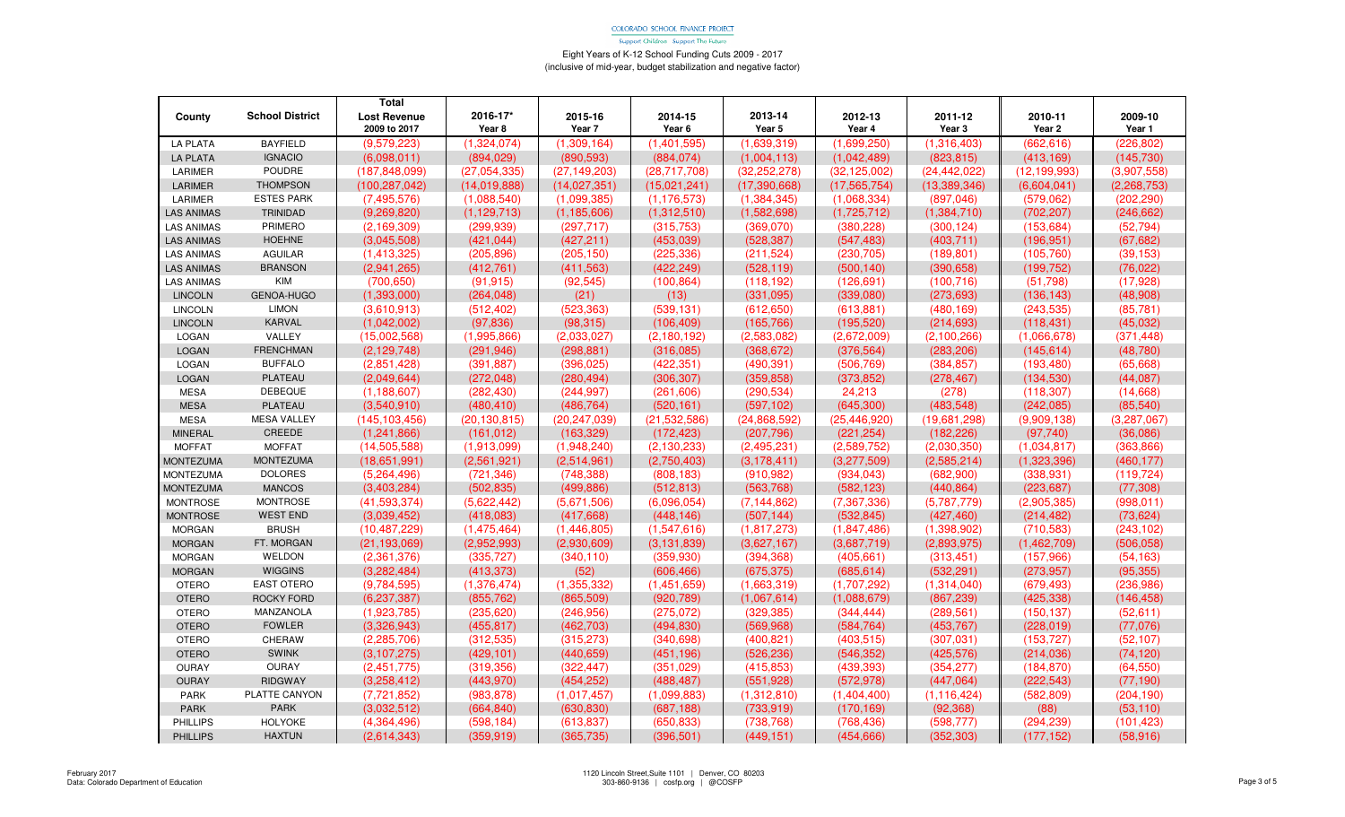Support Children - Support The Future

|                   |                        | <b>Total</b>        |                   |                |                |                |                |                |                |               |
|-------------------|------------------------|---------------------|-------------------|----------------|----------------|----------------|----------------|----------------|----------------|---------------|
| County            | <b>School District</b> | <b>Lost Revenue</b> | 2016-17*          | 2015-16        | 2014-15        | 2013-14        | 2012-13        | 2011-12        | 2010-11        | 2009-10       |
|                   |                        | 2009 to 2017        | Year <sub>8</sub> | Year 7         | Year 6         | Year 5         | Year 4         | Year 3         | Year 2         | Year 1        |
| <b>LA PLATA</b>   | <b>BAYFIELD</b>        | (9,579,223)         | (1,324,074)       | (1,309,164)    | (1,401,595)    | (1,639,319)    | (1,699,250)    | (1,316,403)    | (662, 616)     | (226, 802)    |
| <b>LA PLATA</b>   | <b>IGNACIO</b>         | (6,098,011)         | (894, 029)        | (890, 593)     | (884, 074)     | (1,004,113)    | (1,042,489)    | (823, 815)     | (413, 169)     | (145, 730)    |
| LARIMER           | POUDRE                 | (187, 848, 099)     | (27,054,335)      | (27, 149, 203) | (28,717,708)   | (32, 252, 278) | (32, 125, 002) | (24, 442, 022) | (12, 199, 993) | (3.907, 558)  |
| <b>LARIMER</b>    | <b>THOMPSON</b>        | (100, 287, 042)     | (14, 019, 888)    | (14,027,351)   | (15.021.241)   | (17, 390, 668) | (17, 565, 754) | (13.389.346)   | (6,604,041)    | (2, 268, 753) |
| LARIMER           | <b>ESTES PARK</b>      | (7,495,576)         | (1,088,540)       | (1,099,385)    | (1, 176, 573)  | (1, 384, 345)  | (1,068,334)    | (897, 046)     | (579.062)      | (202, 290)    |
| <b>LAS ANIMAS</b> | <b>TRINIDAD</b>        | (9,269,820)         | (1, 129, 713)     | (1, 185, 606)  | (1,312,510)    | (1,582,698)    | (1,725,712)    | (1,384,710)    | (702, 207)     | (246, 662)    |
| <b>LAS ANIMAS</b> | PRIMERO                | (2, 169, 309)       | (299, 939)        | (297, 717)     | (315, 753)     | (369,070)      | (380, 228)     | (300, 124)     | (153, 684)     | (52, 794)     |
| <b>LAS ANIMAS</b> | <b>HOEHNE</b>          | (3,045,508)         | (421, 044)        | (427, 211)     | (453,039)      | (528, 387)     | (547, 483)     | (403, 711)     | (196, 951)     | (67, 682)     |
| <b>LAS ANIMAS</b> | <b>AGUILAR</b>         | (1,413,325)         | (205, 896)        | (205, 150)     | (225, 336)     | (211, 524)     | (230, 705)     | (189, 801)     | (105,760)      | (39, 153)     |
| <b>LAS ANIMAS</b> | <b>BRANSON</b>         | (2,941,265)         | (412, 761)        | (411, 563)     | (422, 249)     | (528, 119)     | (500, 140)     | (390, 658)     | (199, 752)     | (76, 022)     |
| <b>LAS ANIMAS</b> | <b>KIM</b>             | (700, 650)          | (91, 915)         | (92, 545)      | (100, 864)     | (118, 192)     | (126, 691)     | (100, 716)     | (51,798)       | (17, 928)     |
| <b>LINCOLN</b>    | GENOA-HUGO             | (1,393,000)         | (264, 048)        | (21)           | (13)           | (331,095)      | (339,080)      | (273, 693)     | (136, 143)     | (48,908)      |
| <b>LINCOLN</b>    | <b>LIMON</b>           | (3,610,913)         | (512, 402)        | (523, 363)     | (539, 131)     | (612, 650)     | (613, 881)     | (480, 169)     | (243, 535)     | (85, 781)     |
| <b>LINCOLN</b>    | <b>KARVAL</b>          | (1,042,002)         | (97, 836)         | (98, 315)      | (106, 409)     | (165, 766)     | (195, 520)     | (214, 693)     | (118, 431)     | (45,032)      |
| LOGAN             | VALLEY                 | (15,002,568)        | (1,995,866)       | (2,033,027)    | (2,180,192)    | (2,583,082)    | (2,672,009)    | (2,100,266)    | (1,066,678)    | (371, 448)    |
| <b>LOGAN</b>      | <b>FRENCHMAN</b>       | (2, 129, 748)       | (291, 946)        | (298, 881)     | (316,085)      | (368, 672)     | (376, 564)     | (283, 206)     | (145, 614)     | (48, 780)     |
| LOGAN             | <b>BUFFALO</b>         | (2,851,428)         | (391, 887)        | (396, 025)     | (422, 351)     | (490, 391)     | (506, 769)     | (384, 857)     | (193, 480)     | (65, 668)     |
| <b>LOGAN</b>      | PLATEAU                | (2,049,644)         | (272,048)         | (280, 494)     | (306, 307)     | (359, 858)     | (373.852)      | (278, 467)     | (134,530)      | (44, 087)     |
| <b>MESA</b>       | <b>DEBEQUE</b>         | (1, 188, 607)       | (282, 430)        | (244, 997)     | (261, 606)     | (290, 534)     | 24,213         | (278)          | (118, 307)     | (14,668)      |
| <b>MESA</b>       | PLATEAU                | (3,540,910)         | (480, 410)        | (486, 764)     | (520, 161)     | (597, 102)     | (645,300)      | (483, 548)     | (242,085)      | (85, 540)     |
| <b>MESA</b>       | <b>MESA VALLEY</b>     | (145, 103, 456)     | (20, 130, 815)    | (20, 247, 039) | (21, 532, 586) | (24, 868, 592) | (25, 446, 920) | (19,681,298)   | (9,909,138)    | (3,287,067)   |
| <b>MINERAL</b>    | CREEDE                 | (1,241,866)         | (161, 012)        | (163, 329)     | (172, 423)     | (207, 796)     | (221, 254)     | (182, 226)     | (97,740)       | (36,086)      |
| <b>MOFFAT</b>     | <b>MOFFAT</b>          | (14,505,588)        | (1,913,099)       | (1,948,240)    | (2, 130, 233)  | (2,495,231)    | (2,589,752)    | (2,030,350)    | (1,034,817)    | (363, 866)    |
| <b>MONTEZUMA</b>  | <b>MONTEZUMA</b>       | (18,651,991)        | (2,561,921)       | (2,514,961)    | (2,750,403)    | (3, 178, 411)  | (3,277,509)    | (2,585,214)    | (1,323,396)    | (460, 177)    |
| <b>MONTEZUMA</b>  | <b>DOLORES</b>         | (5,264,496)         | (721, 346)        | (748, 388)     | (808, 183)     | (910, 982)     | (934, 043)     | (682,900)      | (338, 931)     | (119, 724)    |
| <b>MONTEZUMA</b>  | <b>MANCOS</b>          | (3,403,284)         | (502, 835)        | (499, 886)     | (512, 813)     | (563, 768)     | (582, 123)     | (440, 864)     | (223, 687)     | (77, 308)     |
| <b>MONTROSE</b>   | <b>MONTROSE</b>        | (41,593,374)        | (5,622,442)       | (5,671,506)    | (6,096,054)    | (7, 144, 862)  | (7, 367, 336)  | (5,787,779)    | (2,905,385)    | (998, 011)    |
| <b>MONTROSE</b>   | <b>WEST END</b>        | (3.039.452)         | (418,083)         | (417,668)      | (448, 146)     | (507, 144)     | (532, 845)     | (427, 460)     | (214, 482)     | (73, 624)     |
| <b>MORGAN</b>     | <b>BRUSH</b>           | (10, 487, 229)      | (1,475,464)       | (1,446,805)    | (1,547,616)    | (1,817,273)    | (1,847,486)    | (1,398,902)    | (710,583)      | (243, 102)    |
| <b>MORGAN</b>     | FT. MORGAN             | (21, 193, 069)      | (2.952.993)       | (2.930.609)    | (3, 131, 839)  | (3,627,167)    | (3.687.719)    | (2,893,975)    | (1,462,709)    | (506.058)     |
| <b>MORGAN</b>     | WELDON                 | (2,361,376)         | (335, 727)        | (340, 110)     | (359, 930)     | (394, 368)     | (405, 661)     | (313, 451)     | (157, 966)     | (54, 163)     |
| <b>MORGAN</b>     | <b>WIGGINS</b>         | (3,282,484)         | (413, 373)        | (52)           | (606, 466)     | (675, 375)     | (685, 614)     | (532, 291)     | (273.957)      | (95, 355)     |
| <b>OTERO</b>      | <b>EAST OTERO</b>      | (9,784,595)         | (1,376,474)       | (1,355,332)    | (1,451,659)    | (1,663,319)    | (1,707,292)    | (1,314,040)    | (679, 493)     | (236, 986)    |
| <b>OTERO</b>      | <b>ROCKY FORD</b>      | (6.237.387)         | (855, 762)        | (865, 509)     | (920, 789)     | (1,067,614)    | (1,088,679)    | (867, 239)     | (425, 338)     | (146, 458)    |
| <b>OTERO</b>      | MANZANOLA              | (1,923,785)         | (235, 620)        | (246, 956)     | (275,072)      | (329, 385)     | (344, 444)     | (289, 561)     | (150, 137)     | (52,611)      |
| <b>OTERO</b>      | <b>FOWLER</b>          | (3,326,943)         | (455, 817)        | (462, 703)     | (494, 830)     | (569, 968)     | (584, 764)     | (453, 767)     | (228, 019)     | (77,076)      |
| <b>OTERO</b>      | CHERAW                 | (2, 285, 706)       | (312, 535)        | (315, 273)     | (340, 698)     | (400, 821)     | (403, 515)     | (307, 031)     | (153, 727)     | (52, 107)     |
| <b>OTERO</b>      | <b>SWINK</b>           | (3, 107, 275)       | (429, 101)        | (440, 659)     | (451, 196)     | (526, 236)     | (546, 352)     | (425, 576)     | (214, 036)     | (74, 120)     |
| <b>OURAY</b>      | <b>OURAY</b>           | (2,451,775)         | (319, 356)        | (322, 447)     | (351,029)      | (415.853)      | (439, 393)     | (354, 277)     | (184, 870)     | (64, 550)     |
| <b>OURAY</b>      | <b>RIDGWAY</b>         | (3,258,412)         | (443,970)         | (454, 252)     | (488, 487)     | (551, 928)     | (572, 978)     | (447,064)      | (222, 543)     | (77, 190)     |
| PARK              | PLATTE CANYON          | (7, 721, 852)       | (983, 878)        | (1,017,457)    | (1,099,883)    | (1,312,810)    | (1,404,400)    | (1, 116, 424)  | (582, 809)     | (204, 190)    |
| <b>PARK</b>       | <b>PARK</b>            | (3,032,512)         | (664, 840)        | (630, 830)     | (687, 188)     | (733, 919)     | (170, 169)     | (92, 368)      | (88)           | (53, 110)     |
| <b>PHILLIPS</b>   | <b>HOLYOKE</b>         | (4,364,496)         | (598, 184)        | (613, 837)     | (650, 833)     | (738, 768)     | (768, 436)     | (598, 777)     | (294, 239)     | (101, 423)    |
| <b>PHILLIPS</b>   | <b>HAXTUN</b>          | (2,614,343)         | (359, 919)        | (365, 735)     | (396, 501)     | (449, 151)     | (454, 666)     | (352, 303)     | (177, 152)     | (58, 916)     |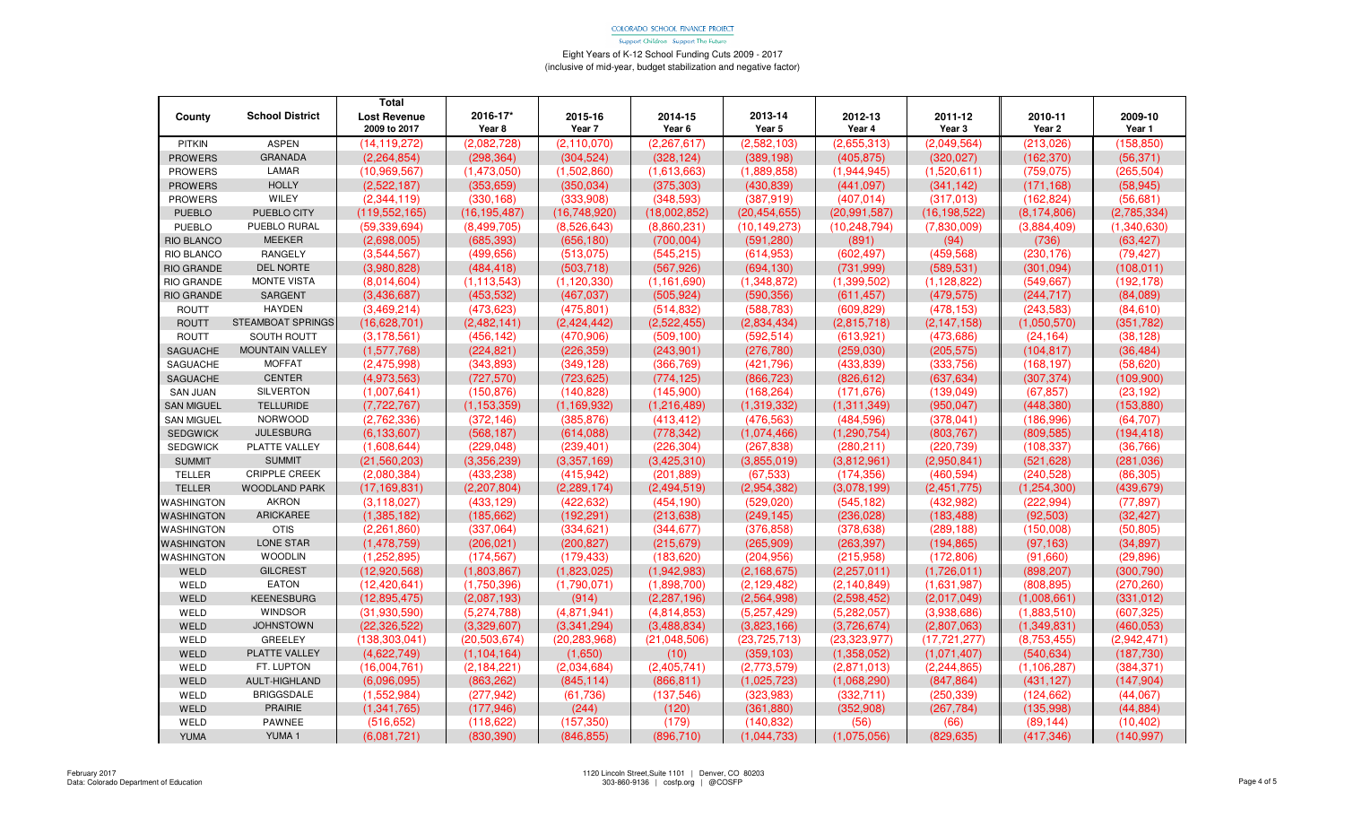Support Children - Support The Future

|                   |                        | <b>Total</b>        |                   |                |               |                |                |                |               |             |
|-------------------|------------------------|---------------------|-------------------|----------------|---------------|----------------|----------------|----------------|---------------|-------------|
| County            | <b>School District</b> | <b>Lost Revenue</b> | 2016-17*          | 2015-16        | 2014-15       | 2013-14        | 2012-13        | 2011-12        | 2010-11       | 2009-10     |
|                   |                        | 2009 to 2017        | Year <sub>8</sub> | Year 7         | Year 6        | Year 5         | Year 4         | Year 3         | Year 2        | Year 1      |
| <b>PITKIN</b>     | <b>ASPEN</b>           | (14, 119, 272)      | (2,082,728)       | (2, 110, 070)  | (2, 267, 617) | (2,582,103)    | (2,655,313)    | (2,049,564)    | (213, 026)    | (158, 850)  |
| <b>PROWERS</b>    | <b>GRANADA</b>         | (2,264,854)         | (298, 364)        | (304, 524)     | (328, 124)    | (389, 198)     | (405, 875)     | (320, 027)     | (162, 370)    | (56, 371)   |
| <b>PROWERS</b>    | LAMAR                  | (10,969,567)        | (1,473,050)       | (1,502,860)    | (1,613,663)   | (1,889,858)    | (1,944,945)    | (1,520,611)    | (759.075)     | (265, 504)  |
| <b>PROWERS</b>    | <b>HOLLY</b>           | (2,522,187)         | (353, 659)        | (350, 034)     | (375, 303)    | (430, 839)     | (441, 097)     | (341, 142)     | (171, 168)    | (58, 945)   |
| <b>PROWERS</b>    | WILEY                  | (2,344,119)         | (330, 168)        | (333,908)      | (348, 593)    | (387, 919)     | (407, 014)     | (317,013)      | (162, 824)    | (56, 681)   |
| <b>PUEBLO</b>     | PUEBLO CITY            | (119, 552, 165)     | (16, 195, 487)    | (16,748,920)   | (18,002,852)  | (20, 454, 655) | (20, 991, 587) | (16, 198, 522) | (8, 174, 806) | (2,785,334) |
| <b>PUEBLO</b>     | PUEBLO RURAL           | (59, 339, 694)      | (8,499,705)       | (8,526,643)    | (8,860,231)   | (10, 149, 273) | (10, 248, 794) | (7,830,009)    | (3,884,409)   | (1,340,630) |
| RIO BLANCO        | <b>MEEKER</b>          | (2,698,005)         | (685, 393)        | (656, 180)     | (700,004)     | (591, 280)     | (891)          | (94)           | (736)         | (63, 427)   |
| RIO BLANCO        | RANGELY                | (3,544,567)         | (499, 656)        | (513,075)      | (545, 215)    | (614, 953)     | (602, 497)     | (459, 568)     | (230, 176)    | (79, 427)   |
| <b>RIO GRANDE</b> | <b>DEL NORTE</b>       | (3,980,828)         | (484, 418)        | (503, 718)     | (567, 926)    | (694, 130)     | (731, 999)     | (589, 531)     | (301,094)     | (108.011)   |
| <b>RIO GRANDE</b> | MONTE VISTA            | (8,014,604)         | (1, 113, 543)     | (1, 120, 330)  | (1, 161, 690) | (1,348,872)    | (1,399,502)    | (1, 128, 822)  | (549, 667)    | (192, 178)  |
| RIO GRANDE        | SARGENT                | (3,436,687)         | (453, 532)        | (467, 037)     | (505, 924)    | (590, 356)     | (611, 457)     | (479, 575)     | (244, 717)    | (84,089)    |
| ROUTT             | <b>HAYDEN</b>          | (3,469,214)         | (473, 623)        | (475, 801)     | (514, 832)    | (588, 783)     | (609, 829)     | (478, 153)     | (243, 583)    | (84, 610)   |
| <b>ROUTT</b>      | STEAMBOAT SPRINGS      | (16,628,701)        | (2,482,141)       | (2,424,442)    | (2,522,455)   | (2,834,434)    | (2,815,718)    | (2, 147, 158)  | (1,050,570)   | (351, 782)  |
| ROUTT             | <b>SOUTH ROUTT</b>     | (3, 178, 561)       | (456, 142)        | (470, 906)     | (509, 100)    | (592, 514)     | (613,921)      | (473, 686)     | (24, 164)     | (38, 128)   |
| <b>SAGUACHE</b>   | <b>MOUNTAIN VALLEY</b> | (1,577,768)         | (224, 821)        | (226, 359)     | (243,901)     | (276, 780)     | (259,030)      | (205, 575)     | (104, 817)    | (36, 484)   |
| SAGUACHE          | <b>MOFFAT</b>          | (2,475,998)         | (343, 893)        | (349, 128)     | (366, 769)    | (421, 796)     | (433, 839)     | (333,756)      | (168, 197)    | (58, 620)   |
| SAGUACHE          | <b>CENTER</b>          | (4,973,563)         | (727, 570)        | (723, 625)     | (774, 125)    | (866, 723)     | (826, 612)     | (637, 634)     | (307, 374)    | (109,900)   |
| <b>SAN JUAN</b>   | <b>SILVERTON</b>       | (1,007,641)         | (150, 876)        | (140, 828)     | (145,900)     | (168, 264)     | (171, 676)     | (139, 049)     | (67, 857)     | (23, 192)   |
| <b>SAN MIGUEL</b> | <b>TELLURIDE</b>       | (7, 722, 767)       | (1, 153, 359)     | (1, 169, 932)  | (1,216,489)   | (1,319,332)    | (1,311,349)    | (950, 047)     | (448, 380)    | (153, 880)  |
| <b>SAN MIGUEL</b> | <b>NORWOOD</b>         | (2,762,336)         | (372, 146)        | (385, 876)     | (413, 412)    | (476, 563)     | (484, 596)     | (378, 041)     | (186,996)     | (64, 707)   |
| <b>SEDGWICK</b>   | <b>JULESBURG</b>       | (6.133.607)         | (568, 187)        | (614,088)      | (778, 342)    | (1.074, 466)   | (1, 290, 754)  | (803, 767)     | (809, 585)    | (194, 418)  |
| <b>SEDGWICK</b>   | PLATTE VALLEY          | (1,608,644)         | (229, 048)        | (239, 401)     | (226, 304)    | (267, 838)     | (280, 211)     | (220, 739)     | (108, 337)    | (36, 766)   |
| <b>SUMMIT</b>     | <b>SUMMIT</b>          | (21,560,203)        | (3,356,239)       | (3,357,169)    | (3,425,310)   | (3,855,019)    | (3,812,961)    | (2,950,841)    | (521, 628)    | (281, 036)  |
| <b>TELLER</b>     | <b>CRIPPLE CREEK</b>   | (2,080,384)         | (433, 238)        | (415, 942)     | (201, 889)    | (67, 533)      | (174, 356)     | (460, 594)     | (240, 528)    | (86, 305)   |
| <b>TELLER</b>     | <b>WOODLAND PARK</b>   | (17, 169, 831)      | (2,207,804)       | (2, 289, 174)  | (2,494,519)   | (2,954,382)    | (3,078,199)    | (2,451,775)    | (1, 254, 300) | (439, 679)  |
| <b>WASHINGTON</b> | <b>AKRON</b>           | (3, 118, 027)       | (433, 129)        | (422, 632)     | (454, 190)    | (529, 020)     | (545, 182)     | (432, 982)     | (222, 994)    | (77, 897)   |
| <b>WASHINGTON</b> | <b>ARICKAREE</b>       | (1,385,182)         | (185, 662)        | (192, 291)     | (213, 638)    | (249, 145)     | (236, 028)     | (183, 488)     | (92, 503)     | (32, 427)   |
| <b>WASHINGTON</b> | <b>OTIS</b>            | (2,261,860)         | (337,064)         | (334, 621)     | (344, 677)    | (376, 858)     | (378, 638)     | (289, 188)     | (150,008)     | (50, 805)   |
| <b>WASHINGTON</b> | <b>LONE STAR</b>       | (1,478,759)         | (206.021)         | (200.827)      | (215, 679)    | (265.909)      | (263.397)      | (194, 865)     | (97.163)      | (34, 897)   |
| <b>WASHINGTON</b> | <b>WOODLIN</b>         | (1, 252, 895)       | (174, 567)        | (179, 433)     | (183, 620)    | (204, 956)     | (215,958)      | (172, 806)     | (91,660)      | (29, 896)   |
| WELD              | <b>GILCREST</b>        | (12,920,568)        | (1,803,867)       | (1,823,025)    | (1,942,983)   | (2, 168, 675)  | (2, 257, 011)  | (1,726,011)    | (898, 207)    | (300, 790)  |
| WELD              | <b>EATON</b>           | (12, 420, 641)      | (1,750,396)       | (1,790,071)    | (1,898,700)   | (2, 129, 482)  | (2, 140, 849)  | (1,631,987)    | (808, 895)    | (270, 260)  |
| WELD              | <b>KEENESBURG</b>      | (12.895.475)        | (2,087,193)       | (914)          | (2,287,196)   | (2,564,998)    | (2,598,452)    | (2,017,049)    | (1,008,661)   | (331, 012)  |
| WELD              | WINDSOR                | (31,930,590)        | (5,274,788)       | (4,871,941)    | (4,814,853)   | (5,257,429)    | (5,282,057)    | (3,938,686)    | (1,883,510)   | (607, 325)  |
| WELD              | <b>JOHNSTOWN</b>       | (22, 326, 522)      | (3,329,607)       | (3,341,294)    | (3,488,834)   | (3,823,166)    | (3,726,674)    | (2,807,063)    | (1,349,831)   | (460, 053)  |
| WELD              | <b>GREELEY</b>         | (138, 303, 041)     | (20, 503, 674)    | (20, 283, 968) | (21,048,506)  | (23, 725, 713) | (23, 323, 977) | (17, 721, 277) | (8,753,455)   | (2,942,471) |
| WELD              | PLATTE VALLEY          | (4,622,749)         | (1, 104, 164)     | (1,650)        | (10)          | (359, 103)     | (1,358,052)    | (1,071,407)    | (540, 634)    | (187, 730)  |
| WELD              | FT. LUPTON             | (16,004,761)        | (2, 184, 221)     | (2,034,684)    | (2,405,741)   | (2,773,579)    | (2,871,013)    | (2, 244, 865)  | (1, 106, 287) | (384, 371)  |
| WELD              | <b>AULT-HIGHLAND</b>   | (6.096.095)         | (863, 262)        | (845, 114)     | (866, 811)    | (1,025,723)    | (1,068,290)    | (847, 864)     | (431, 127)    | (147, 904)  |
| WELD              | <b>BRIGGSDALE</b>      | (1,552,984)         | (277, 942)        | (61, 736)      | (137, 546)    | (323,983)      | (332, 711)     | (250, 339)     | (124, 662)    | (44,067)    |
| WELD              | PRAIRIE                | (1,341,765)         | (177, 946)        | (244)          | (120)         | (361, 880)     | (352.908)      | (267, 784)     | (135,998)     | (44, 884)   |
| WELD              | <b>PAWNEE</b>          | (516, 652)          | (118, 622)        | (157, 350)     | (179)         | (140, 832)     | (56)           | (66)           | (89, 144)     | (10, 402)   |
| <b>YUMA</b>       | YUMA 1                 | (6,081,721)         | (830, 390)        | (846, 855)     | (896, 710)    | (1,044,733)    | (1,075,056)    | (829, 635)     | (417, 346)    | (140, 997)  |